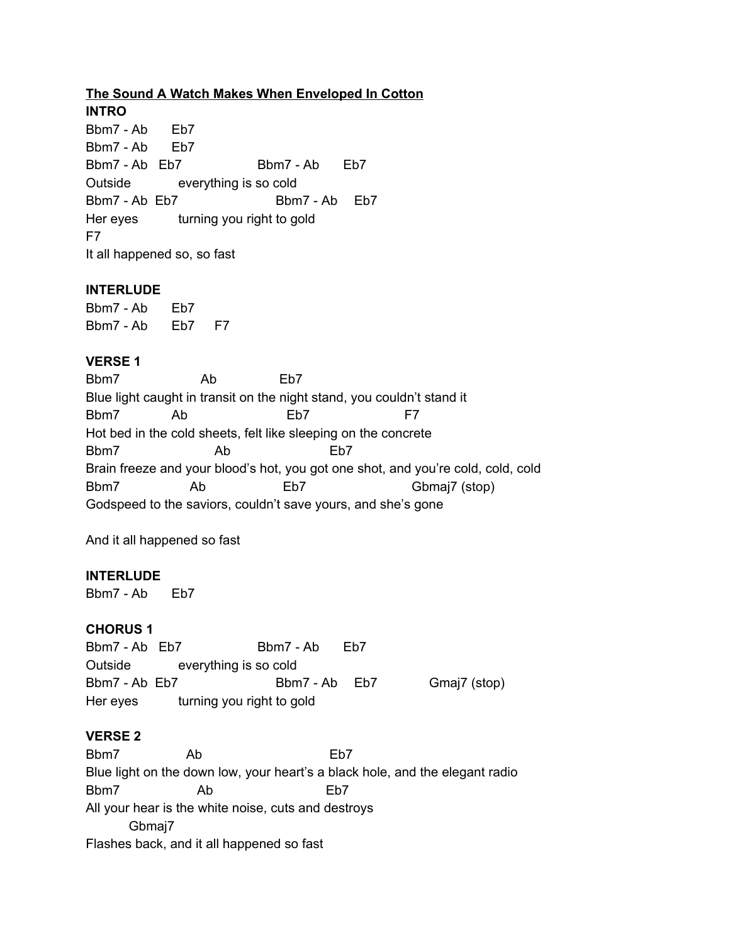# **The Sound A Watch Makes When Enveloped In Cotton**

**INTRO** Bbm7 - Ab Eb7 Bbm7 - Ab Eb7 Bbm7 - Ab Eb7 Bbm7 - Ab Eb7 Outside everything is so cold Bbm7 - Ab Eb7 Bbm7 - Ab Eb7 Her eyes turning you right to gold F7 It all happened so, so fast

### **INTERLUDE**

Bbm7 - Ab Eb7 Bbm7 - Ab Eb7 F7

### **VERSE 1**

Bbm7 Ab Eb7 Blue light caught in transit on the night stand, you couldn't stand it Bbm7 Ab Eb7 F7 Hot bed in the cold sheets, felt like sleeping on the concrete Bbm7 Ab Eb7 Brain freeze and your blood's hot, you got one shot, and you're cold, cold, cold Bbm7 Ab Eb7 Gbmaj7 (stop) Godspeed to the saviors, couldn't save yours, and she's gone

And it all happened so fast

#### **INTERLUDE**

Bbm7 - Ab Eb7

#### **CHORUS 1**

Bbm7 - Ab Eb7 Bbm7 - Ab Eb7 Outside everything is so cold Bbm7 - Ab Eb7 Bbm7 - Ab Eb7 Gmaj7 (stop) Her eyes turning you right to gold

## **VERSE 2**

Bbm7 Ab Eb7 Blue light on the down low, your heart's a black hole, and the elegant radio Bbm7 Ab Eb7 All your hear is the white noise, cuts and destroys Gbmaj7 Flashes back, and it all happened so fast